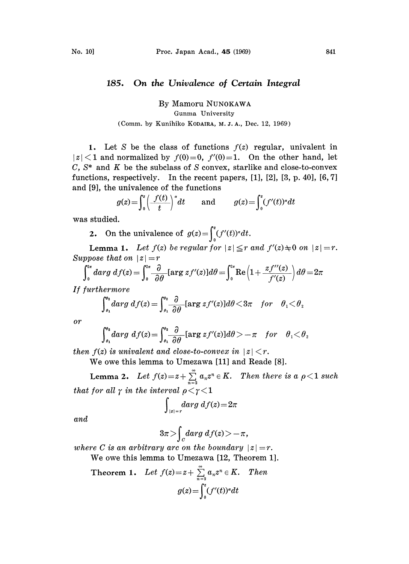## 185. On the Univalence of Certain Integral

By Mamoru NUNOKAWA Gunma University (Comm. by Kunihiko KODAIRA, M.J.A., Dec. 12, 1969)

1. Let S be the class of functions  $f(z)$  regular, univalent in  $|z|$  and normalized by  $f(0)=0$ ,  $f'(0)=1$ . On the other hand, let  $C, S^*$  and  $K$  be the subclass of S convex, starlike and close-to-convex functions, respectively. In the recent papers, [1], [2], [3, p. 40], [6, 7] and [9], the univalence of the functions

 $g(z) = \int_0^z \left(\frac{f(t)}{t}\right)^t dt$  and  $g(z) = \int_0^z (f'(t))^s dt$ 

was studied.

2. On the univalence of  $g(z) = \int_0^z (f'(t))^{\alpha} dt$ .

**Lemma 1.** Let  $f(z)$  be regular for  $|z| \leq r$  and  $f'(z) \neq 0$  on  $|z| = r$ . Suppose that on  $|z|=r$ 

$$
\int_0^{2\pi} d\alpha r g \ d\beta (z) = \int_0^{2\pi} \frac{\partial}{\partial \theta} [\arg z f'(z)] d\theta = \int_0^{2\pi} \text{Re}\left(1 + \frac{z f''(z)}{f'(z)}\right) d\theta = 2\pi
$$

If furthermore

$$
\int_{\theta_1}^{\theta_2} darg \ d f(z) = \int_{\theta_1}^{\theta_2} \frac{\partial}{\partial \theta} [\arg z f'(z)] d\theta \langle 3\pi \quad \textit{for} \quad \theta_1 \langle \theta_2 \rangle
$$

**or** 

$$
\int_{\theta_1}^{\theta_2} darg \ d f(z) = \int_{\theta_1}^{\theta_2} \frac{\partial}{\partial \theta} [\arg z f'(z)] d\theta > -\pi \quad \text{for} \quad \theta_1 < \theta_2
$$

then  $f(z)$  is univalent and close-to-convex in  $|z| < r$ .

We owe this lemma to Umezawa [11] and Reade [8].

**Lemma 2.** Let  $f(z) = z + \sum_{n=2}^{\infty} a_n z^n \in K$ . Then there is a  $\rho < 1$  such that for all  $\gamma$  in the interval  $\rho < \gamma < 1$ 

$$
\int_{|z|=r} darg\; df(z) = 2\pi
$$

and

$$
3\pi > \int_{C} darg \ d f(z) > -\pi,
$$

where C is an arbitrary arc on the boundary  $|z|=r$ .

We owe this lemma to Umezawa [12, Theorem 1].

Theorem 1. Let 
$$
f(z) = z + \sum_{n=2}^{\infty} a_n z^n \in K
$$
. Then  

$$
g(z) = \int_0^z (f'(t))^{\alpha} dt
$$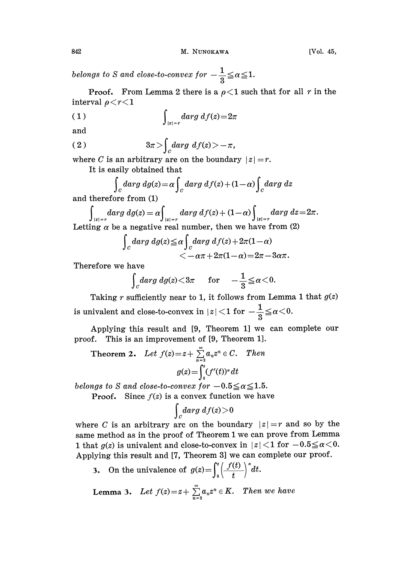belongs to S and close-to-convex for  $-\frac{1}{2}\leqq \alpha \leqq 1$ 

**Proof.** From Lemma 2 there is a  $\rho < 1$  such that for all r in the interval  $\rho < r < 1$ 

$$
\int_{|z|=r} darg \, df(z) = 2\pi
$$

and

$$
(2) \t 3\pi > \int_{C} darg \ d f(z) > -\pi,
$$

where C is an arbitrary are on the boundary  $|z|=r$ .

It is easily obtained that

$$
\int_C darg\ dg(z) = \alpha \int_C darg\ df(z) + (1-\alpha) \int_C darg\ dz
$$

and therefore from (1)

$$
\int_{|z|=r} darg \ dg(z) = \alpha \int_{|z|=r} darg \ df(z) + (1-\alpha) \int_{|z|=r} darg \ dz = 2\pi.
$$
  
Letting  $\alpha$  be a negative real number, then we have from (2)

$$
\int_{C} darg \ dig(z) \leq \alpha \int_{C} darg \ df(z) + 2\pi (1-\alpha) < -\alpha \pi + 2\pi (1-\alpha) = 2\pi - 3\alpha \pi.
$$

Therefore we have

$$
\int_{C} darg \, dg(z) < 3\pi \quad \text{for} \quad -\frac{1}{3} \leq \alpha < 0.
$$

Taking r sufficiently near to 1, it follows from Lemma 1 that  $g(z)$ is univalent and close-to-convex in  $|z|$  < 1 for  $-\frac{1}{3} \leqq \alpha < 0$ .

Applying this result and [9, Theorem 1] we can complete our proof. This is an improvement of [9, Theorem 1].

**Theorem 2.** Let  $f(z)=z+\sum_{n=2}^{\infty}a_nz^n\in C$ . Then  $g(z) = \int_{0}^{z} (f'(t))^{a} dt$ 

belongs to S and close-to-convex for  $-0.5 \le \alpha \le 1.5$ .

**Proof.** Since  $f(z)$  is a convex function we have

$$
\int_{\mathit{C}}darg\;df(z)\!>\!0
$$

where C is an arbitrary arc on the boundary  $|z|=r$  and so by the same method as in the proof of Theorem 1 we can prove from Lemma 1 that  $g(z)$  is univalent and close-to-convex in  $|z|$  < 1 for  $-0.5 \le \alpha$  < 0. Applying this result and [7, Theorem 3] we can complete our proof.

3. On the univalence of  $g(z) = \int_0^z \left(\frac{f(t)}{t}\right)^{\alpha} dt$ .

**Lemma 3.** Let 
$$
f(z) = z + \sum_{n=2}^{\infty} a_n z^n \in K
$$
. Then we have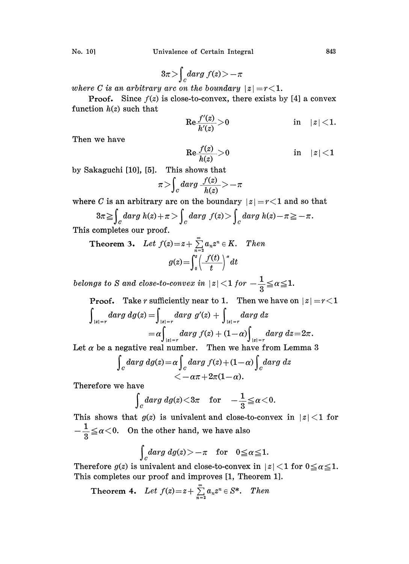Univalence of Certain Integral 843

$$
No. 10]
$$

$$
3\pi > \int_{C} darg \ f(z) > -\pi
$$

where C is an arbitrary arc on the boundary  $|z|=r<1$ .

**Proof.** Since  $f(z)$  is close-to-convex, there exists by [4] a convex function  $h(z)$  such that

$$
\text{Re}\frac{f'(z)}{h'(z)}\!>\!0\qquad \qquad \text{in}\quad |z|\!<\!1.
$$

Then we have

$$
\text{Re}\frac{f(z)}{h(z)}>0 \qquad \qquad \text{in} \quad |z|<1
$$

by Sakaguchi [10], [5]. This shows that

$$
\pi > \int_C darg \frac{f(z)}{h(z)} > -\pi
$$

where C is an arbitrary arc on the boundary  $|z|=r<1$  and so that

$$
3\pi \geq \int_C darg \, h(z) + \pi \geq \int_C darg \, f(z) > \int_C darg \, h(z) - \pi \geq -\pi.
$$

This completes our proof.

**Theorem 3.** Let 
$$
f(z) = z + \sum_{n=2}^{\infty} a_n z^n \in K
$$
. Then  

$$
g(z) = \int_0^z \left(\frac{f(t)}{t}\right)^s dt
$$

belongs to S and close-to-convex in  $|z|$  < 1 for  $-\frac{1}{3} \leqq \alpha \leqq 1$ .

**Proof.** Take *r* sufficiently near to 1. Then we have on 
$$
|z| = r < 1
$$
  
\n
$$
\int_{|z|=r} darg \, dg(z) = \int_{|z|=r} darg \, g'(z) + \int_{|z|=r} darg \, dz
$$
\n
$$
= \alpha \int_{|z|=r} darg \, f(z) + (1-\alpha) \int_{|z|=r} darg \, dz = 2\pi.
$$

Let  $\alpha$  be a negative real number. Then we have from Lemma 3

$$
\int_{C} darg \ dg(z) = \alpha \int_{C} darg \ f(z) + (1 - \alpha) \int_{C} darg \ dz < -\alpha \pi + 2\pi (1 - \alpha).
$$

Therefore we have

$$
\int_{C} darg\ dg(z) < 3\pi \quad \text{for} \quad -\frac{1}{3} \leqq \alpha < 0.
$$

This shows that  $g(z)$  is univalent and close-to-convex in  $|z|$  < 1 for  $-\frac{1}{3} \le \alpha < 0$ . On the other hand, we have also

$$
\int_{C} darg \ dg(z) > -\pi \quad \text{for} \quad 0 \leq \alpha \leq 1.
$$

Therefore  $g(z)$  is univalent and close-to-convex in  $|z|$  < 1 for  $0 \le \alpha \le 1$ . This completes our proof and improves [1, Theorem 1].

**Theorem 4.** Let 
$$
f(z) = z + \sum_{n=2}^{\infty} a_n z^n \in S^*
$$
. Then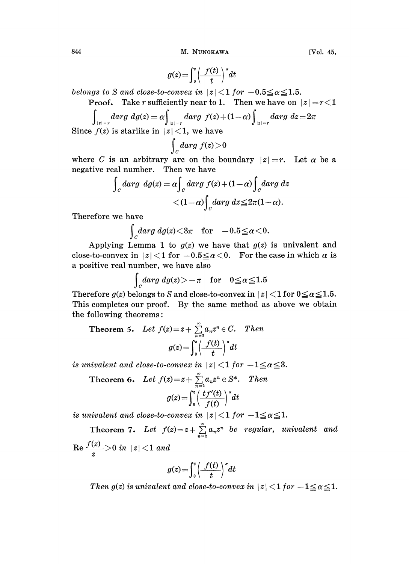844 M. NUNOKAWA [Vol. 45,

$$
g(z) = \int_0^z \left(\frac{f(t)}{t}\right)^s dt
$$

belongs to S and close-to-convex in  $|z|$  < 1 for  $-0.5 \le \alpha \le 1.5$ .

**Proof.** Take r sufficiently near to 1. Then we have on  $|z|=r<1$ 

$$
\int_{|z|=r} darg \ dgd(z) = \alpha \int_{|z|=r} darg \ f(z) + (1-\alpha) \int_{|z|=r} darg \ dz = 2\pi
$$
\nSince  $f(z)$  is starlike in  $|z| < 1$ , we have

 $\int_c darg f(z)$ where C is an arbitrary arc on the boundary  $|z|=r$ . Let  $\alpha$  be a negative real number. Then we have

$$
\int_C darg \ dg(z) = \alpha \int_C darg \ f(z) + (1 - \alpha) \int_C darg \ dz
$$

$$
< (1 - \alpha) \int_C darg \ dz \leq 2\pi (1 - \alpha).
$$

Therefore we have

 $\int_{C}^{darg\,dg(z)< 3\pi} {\rm~~for~~} -0.5 {\leq} \alpha {<} 0.$ 

Applying Lemma 1 to  $g(z)$  we have that  $g(z)$  is univalent and close-to-convex in  $|z|$  < 1 for  $-0.5 \le \alpha$  < 0. For the case in which  $\alpha$  is a positive real number, we have also

$$
\int_{C} darg \, dg(z) > -\pi \quad \text{for} \quad 0 \leq \alpha \leq 1.5
$$

Therefore  $g(z)$  belongs to S and close-to-convex in  $|z|$  < 1 for  $0 \le \alpha \le 1.5$ . This completes our proof. By the same method as above we obtain the following theorems:

Theorem 5. Let 
$$
f(z) = z + \sum_{n=2}^{\infty} a_n z^n \in C
$$
. Then  

$$
g(z) = \int_0^z \left(\frac{f(t)}{t}\right)^s dt
$$

is univalent and close-to-convex in  $|z|$  < 1 for  $-1 \le \alpha \le 3$ .

Theorem 6. Let 
$$
f(z) = z + \sum_{n=2}^{\infty} a_n z^n \in S^*
$$
. Then  
\n
$$
g(z) = \int_0^z \left( \frac{tf'(t)}{f(t)} \right)^{\alpha} dt
$$
\nis univalent and close-to-convex in  $|z| < 1$  for  $-1 \le \alpha \le 1$ .

Theorem 7. Let  $f(z) = z + \sum_{n=2}^{\infty} a_n z^n$  be regular, univalent and  $\text{Re}\frac{J(z)}{z}$  > 0 in  $|z|$  < 1 and

$$
g(z) = \int_0^z \left(\frac{f(t)}{t}\right)^{\alpha} dt
$$

Then  $g(z)$  is univalent and close-to-convex in  $|z|$  < 1 for  $-1 \le \alpha \le 1$ .